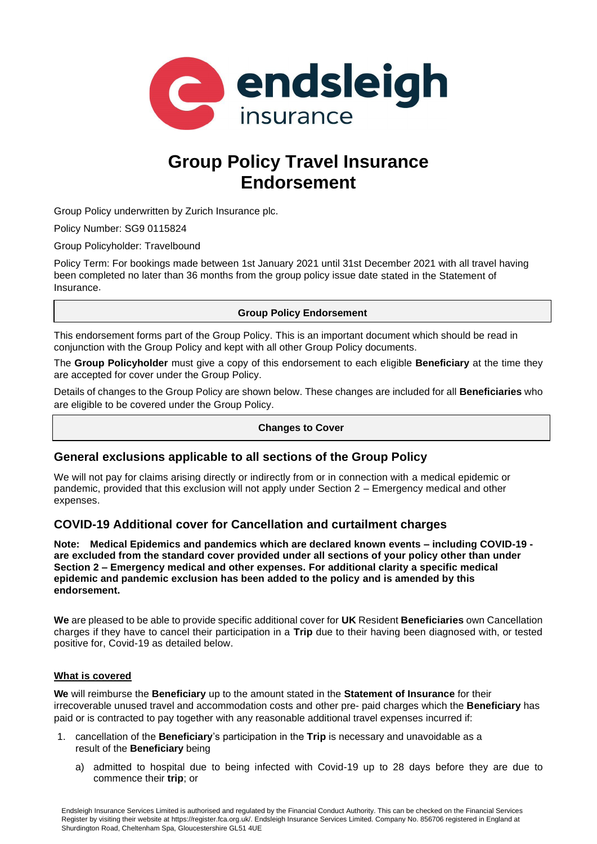

# **Group Policy Travel Insurance Endorsement**

Group Policy underwritten by Zurich Insurance plc.

Policy Number: SG9 0115824

Group Policyholder: Travelbound

Policy Term: For bookings made between 1st January 2021 until 31st December 2021 with all travel having been completed no later than 36 months from the group policy issue date stated in the Statement of Insurance.

## **Group Policy Endorsement**

This endorsement forms part of the Group Policy. This is an important document which should be read in conjunction with the Group Policy and kept with all other Group Policy documents.

The **Group Policyholder** must give a copy of this endorsement to each eligible **Beneficiary** at the time they are accepted for cover under the Group Policy.

Details of changes to the Group Policy are shown below. These changes are included for all **Beneficiaries** who are eligible to be covered under the Group Policy.

## **Changes to Cover**

## **General exclusions applicable to all sections of the Group Policy**

We will not pay for claims arising directly or indirectly from or in connection with a medical epidemic or pandemic, provided that this exclusion will not apply under Section 2 – Emergency medical and other expenses.

## **COVID-19 Additional cover for Cancellation and curtailment charges**

**Note: Medical Epidemics and pandemics which are declared known events – including COVID-19 are excluded from the standard cover provided under all sections of your policy other than under Section 2 – Emergency medical and other expenses. For additional clarity a specific medical epidemic and pandemic exclusion has been added to the policy and is amended by this endorsement.**

**We** are pleased to be able to provide specific additional cover for **UK** Resident **Beneficiaries** own Cancellation charges if they have to cancel their participation in a **Trip** due to their having been diagnosed with, or tested positive for, Covid-19 as detailed below.

### **What is covered**

**We** will reimburse the **Beneficiary** up to the amount stated in the **Statement of Insurance** for their irrecoverable unused travel and accommodation costs and other pre- paid charges which the **Beneficiary** has paid or is contracted to pay together with any reasonable additional travel expenses incurred if:

- 1. cancellation of the **Beneficiary**'s participation in the **Trip** is necessary and unavoidable as a result of the **Beneficiary** being
	- a) admitted to hospital due to being infected with Covid-19 up to 28 days before they are due to commence their **trip**; or